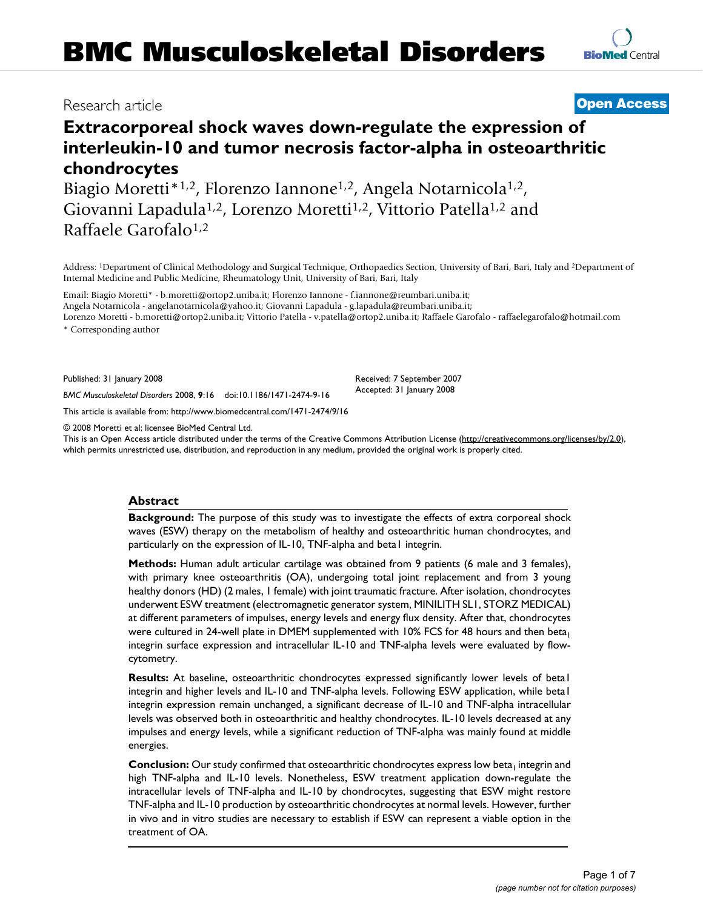## Research article **[Open Access](http://www.biomedcentral.com/info/about/charter/)**

# **Extracorporeal shock waves down-regulate the expression of interleukin-10 and tumor necrosis factor-alpha in osteoarthritic chondrocytes**

Biagio Moretti<sup>\*1,2</sup>, Florenzo Iannone<sup>1,2</sup>, Angela Notarnicola<sup>1,2</sup>, Giovanni Lapadula<sup>1,2</sup>, Lorenzo Moretti<sup>1,2</sup>, Vittorio Patella<sup>1,2</sup> and Raffaele Garofalo<sup>1,2</sup>

Address: 1Department of Clinical Methodology and Surgical Technique, Orthopaedics Section, University of Bari, Bari, Italy and 2Department of Internal Medicine and Public Medicine, Rheumatology Unit, University of Bari, Bari, Italy

Email: Biagio Moretti\* - b.moretti@ortop2.uniba.it; Florenzo Iannone - f.iannone@reumbari.uniba.it; Angela Notarnicola - angelanotarnicola@yahoo.it; Giovanni Lapadula - g.lapadula@reumbari.uniba.it; Lorenzo Moretti - b.moretti@ortop2.uniba.it; Vittorio Patella - v.patella@ortop2.uniba.it; Raffaele Garofalo - raffaelegarofalo@hotmail.com

\* Corresponding author

Published: 31 January 2008

Received: 7 September 2007 Accepted: 31 January 2008

*BMC Musculoskeletal Disorders* 2008, **9**:16 doi:10.1186/1471-2474-9-16 [This article is available from: http://www.biomedcentral.com/1471-2474/9/16](http://www.biomedcentral.com/1471-2474/9/16)

© 2008 Moretti et al; licensee BioMed Central Ltd.

This is an Open Access article distributed under the terms of the Creative Commons Attribution License [\(http://creativecommons.org/licenses/by/2.0\)](http://creativecommons.org/licenses/by/2.0), which permits unrestricted use, distribution, and reproduction in any medium, provided the original work is properly cited.

#### **Abstract**

**Background:** The purpose of this study was to investigate the effects of extra corporeal shock waves (ESW) therapy on the metabolism of healthy and osteoarthritic human chondrocytes, and particularly on the expression of IL-10, TNF-alpha and beta1 integrin.

**Methods:** Human adult articular cartilage was obtained from 9 patients (6 male and 3 females), with primary knee osteoarthritis (OA), undergoing total joint replacement and from 3 young healthy donors (HD) (2 males, 1 female) with joint traumatic fracture. After isolation, chondrocytes underwent ESW treatment (electromagnetic generator system, MINILITH SL1, STORZ MEDICAL) at different parameters of impulses, energy levels and energy flux density. After that, chondrocytes were cultured in 24-well plate in DMEM supplemented with 10% FCS for 48 hours and then beta<sub>1</sub> integrin surface expression and intracellular IL-10 and TNF-alpha levels were evaluated by flowcytometry.

**Results:** At baseline, osteoarthritic chondrocytes expressed significantly lower levels of beta1 integrin and higher levels and IL-10 and TNF-alpha levels. Following ESW application, while beta1 integrin expression remain unchanged, a significant decrease of IL-10 and TNF-alpha intracellular levels was observed both in osteoarthritic and healthy chondrocytes. IL-10 levels decreased at any impulses and energy levels, while a significant reduction of TNF-alpha was mainly found at middle energies.

**Conclusion:** Our study confirmed that osteoarthritic chondrocytes express low beta<sub>1</sub> integrin and high TNF-alpha and IL-10 levels. Nonetheless, ESW treatment application down-regulate the intracellular levels of TNF-alpha and IL-10 by chondrocytes, suggesting that ESW might restore TNF-alpha and IL-10 production by osteoarthritic chondrocytes at normal levels. However, further in vivo and in vitro studies are necessary to establish if ESW can represent a viable option in the treatment of OA.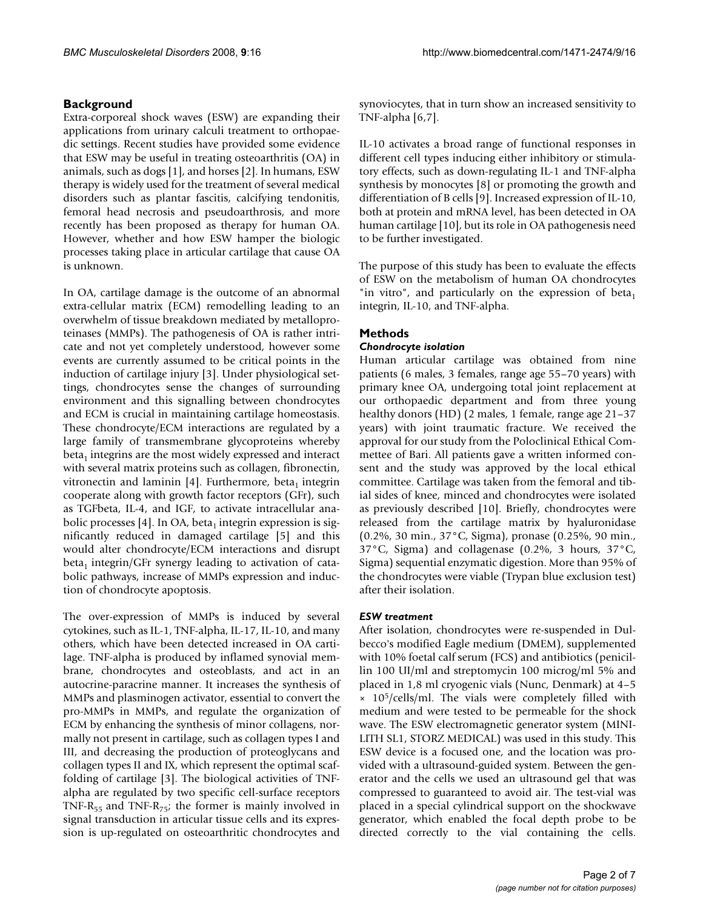#### **Background**

Extra-corporeal shock waves (ESW) are expanding their applications from urinary calculi treatment to orthopaedic settings. Recent studies have provided some evidence that ESW may be useful in treating osteoarthritis (OA) in animals, such as dogs [1], and horses [2]. In humans, ESW therapy is widely used for the treatment of several medical disorders such as plantar fascitis, calcifying tendonitis, femoral head necrosis and pseudoarthrosis, and more recently has been proposed as therapy for human OA. However, whether and how ESW hamper the biologic processes taking place in articular cartilage that cause OA is unknown.

In OA, cartilage damage is the outcome of an abnormal extra-cellular matrix (ECM) remodelling leading to an overwhelm of tissue breakdown mediated by metalloproteinases (MMPs). The pathogenesis of OA is rather intricate and not yet completely understood, however some events are currently assumed to be critical points in the induction of cartilage injury [3]. Under physiological settings, chondrocytes sense the changes of surrounding environment and this signalling between chondrocytes and ECM is crucial in maintaining cartilage homeostasis. These chondrocyte/ECM interactions are regulated by a large family of transmembrane glycoproteins whereby  $beta_1$  integrins are the most widely expressed and interact with several matrix proteins such as collagen, fibronectin, vitronectin and laminin [4]. Furthermore, beta<sub>1</sub> integrin cooperate along with growth factor receptors (GFr), such as TGFbeta, IL-4, and IGF, to activate intracellular anabolic processes [4]. In OA, beta<sub>1</sub> integrin expression is significantly reduced in damaged cartilage [5] and this would alter chondrocyte/ECM interactions and disrupt  $beta_1$  integrin/GFr synergy leading to activation of catabolic pathways, increase of MMPs expression and induction of chondrocyte apoptosis.

The over-expression of MMPs is induced by several cytokines, such as IL-1, TNF-alpha, IL-17, IL-10, and many others, which have been detected increased in OA cartilage. TNF-alpha is produced by inflamed synovial membrane, chondrocytes and osteoblasts, and act in an autocrine-paracrine manner. It increases the synthesis of MMPs and plasminogen activator, essential to convert the pro-MMPs in MMPs, and regulate the organization of ECM by enhancing the synthesis of minor collagens, normally not present in cartilage, such as collagen types I and III, and decreasing the production of proteoglycans and collagen types II and IX, which represent the optimal scaffolding of cartilage [3]. The biological activities of TNFalpha are regulated by two specific cell-surface receptors TNF-R<sub>55</sub> and TNF-R<sub>75</sub>; the former is mainly involved in signal transduction in articular tissue cells and its expression is up-regulated on osteoarthritic chondrocytes and synoviocytes, that in turn show an increased sensitivity to TNF-alpha [6,7].

IL-10 activates a broad range of functional responses in different cell types inducing either inhibitory or stimulatory effects, such as down-regulating IL-1 and TNF-alpha synthesis by monocytes [8] or promoting the growth and differentiation of B cells [9]. Increased expression of IL-10, both at protein and mRNA level, has been detected in OA human cartilage [10], but its role in OA pathogenesis need to be further investigated.

The purpose of this study has been to evaluate the effects of ESW on the metabolism of human OA chondrocytes "in vitro", and particularly on the expression of beta<sub>1</sub> integrin, IL-10, and TNF-alpha.

#### **Methods**

#### *Chondrocyte isolation*

Human articular cartilage was obtained from nine patients (6 males, 3 females, range age 55–70 years) with primary knee OA, undergoing total joint replacement at our orthopaedic department and from three young healthy donors (HD) (2 males, 1 female, range age 21–37 years) with joint traumatic fracture. We received the approval for our study from the Poloclinical Ethical Commettee of Bari. All patients gave a written informed consent and the study was approved by the local ethical committee. Cartilage was taken from the femoral and tibial sides of knee, minced and chondrocytes were isolated as previously described [10]. Briefly, chondrocytes were released from the cartilage matrix by hyaluronidase (0.2%, 30 min., 37°C, Sigma), pronase (0.25%, 90 min., 37°C, Sigma) and collagenase (0.2%, 3 hours, 37°C, Sigma) sequential enzymatic digestion. More than 95% of the chondrocytes were viable (Trypan blue exclusion test) after their isolation.

#### *ESW treatment*

After isolation, chondrocytes were re-suspended in Dulbecco's modified Eagle medium (DMEM), supplemented with 10% foetal calf serum (FCS) and antibiotics (penicillin 100 UI/ml and streptomycin 100 microg/ml 5% and placed in 1,8 ml cryogenic vials (Nunc, Denmark) at 4–5  $\times$  10<sup>5</sup>/cells/ml. The vials were completely filled with medium and were tested to be permeable for the shock wave. The ESW electromagnetic generator system (MINI-LITH SL1, STORZ MEDICAL) was used in this study. This ESW device is a focused one, and the location was provided with a ultrasound-guided system. Between the generator and the cells we used an ultrasound gel that was compressed to guaranteed to avoid air. The test-vial was placed in a special cylindrical support on the shockwave generator, which enabled the focal depth probe to be directed correctly to the vial containing the cells.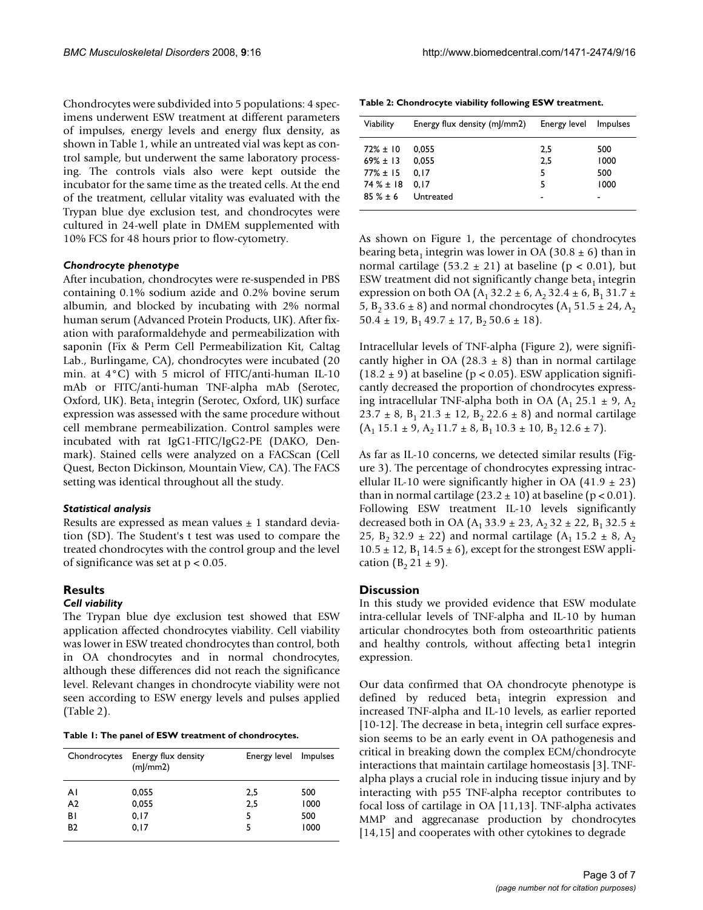Chondrocytes were subdivided into 5 populations: 4 specimens underwent ESW treatment at different parameters of impulses, energy levels and energy flux density, as shown in Table 1, while an untreated vial was kept as control sample, but underwent the same laboratory processing. The controls vials also were kept outside the incubator for the same time as the treated cells. At the end of the treatment, cellular vitality was evaluated with the Trypan blue dye exclusion test, and chondrocytes were cultured in 24-well plate in DMEM supplemented with 10% FCS for 48 hours prior to flow-cytometry.

#### *Chondrocyte phenotype*

After incubation, chondrocytes were re-suspended in PBS containing 0.1% sodium azide and 0.2% bovine serum albumin, and blocked by incubating with 2% normal human serum (Advanced Protein Products, UK). After fixation with paraformaldehyde and permeabilization with saponin (Fix & Perm Cell Permeabilization Kit, Caltag Lab., Burlingame, CA), chondrocytes were incubated (20 min. at 4°C) with 5 microl of FITC/anti-human IL-10 mAb or FITC/anti-human TNF-alpha mAb (Serotec, Oxford, UK). Beta<sub>1</sub> integrin (Serotec, Oxford, UK) surface expression was assessed with the same procedure without cell membrane permeabilization. Control samples were incubated with rat IgG1-FITC/IgG2-PE (DAKO, Denmark). Stained cells were analyzed on a FACScan (Cell Quest, Becton Dickinson, Mountain View, CA). The FACS setting was identical throughout all the study.

#### *Statistical analysis*

Results are expressed as mean values  $\pm$  1 standard deviation (SD). The Student's t test was used to compare the treated chondrocytes with the control group and the level of significance was set at  $p < 0.05$ .

#### **Results**

#### *Cell viability*

The Trypan blue dye exclusion test showed that ESW application affected chondrocytes viability. Cell viability was lower in ESW treated chondrocytes than control, both in OA chondrocytes and in normal chondrocytes, although these differences did not reach the significance level. Relevant changes in chondrocyte viability were not seen according to ESW energy levels and pulses applied (Table 2).

|  | Table 1: The panel of ESW treatment of chondrocytes. |
|--|------------------------------------------------------|
|--|------------------------------------------------------|

|                | Chondrocytes Energy flux density<br>(m)/mm2) | Energy level Impulses |      |
|----------------|----------------------------------------------|-----------------------|------|
| ΑI             | 0,055                                        | 2,5                   | 500  |
| A <sub>2</sub> | 0,055                                        | 2,5                   | 1000 |
| ΒI             | 0, 17                                        | 5                     | 500  |
| <b>B2</b>      | 0, 17                                        | 5                     | 1000 |

**Table 2: Chondrocyte viability following ESW treatment.**

| Viability                                       | Energy flux density (ml/mm2) | Energy level    | <i>Impulses</i>    |
|-------------------------------------------------|------------------------------|-----------------|--------------------|
| $72\% \pm 10$<br>$69\% \pm 13$<br>$77\% \pm 15$ | 0.055<br>0.055<br>0.17       | 2.5<br>2,5<br>5 | 500<br>1000<br>500 |
| $74\% \pm 18$<br>$85 \% + 6$                    | 0.17<br>Untreated            | 5               | 1000               |

As shown on Figure 1, the percentage of chondrocytes bearing beta<sub>1</sub> integrin was lower in OA (30.8  $\pm$  6) than in normal cartilage (53.2  $\pm$  21) at baseline (p < 0.01), but ESW treatment did not significantly change beta<sub>1</sub> integrin expression on both OA (A<sub>1</sub> 32.2  $\pm$  6, A<sub>2</sub> 32.4  $\pm$  6, B<sub>1</sub> 31.7  $\pm$ 5, B<sub>2</sub> 33.6  $\pm$  8) and normal chondrocytes (A<sub>1</sub> 51.5  $\pm$  24, A<sub>2</sub>  $50.4 \pm 19$ ,  $B_1 49.7 \pm 17$ ,  $B_2 50.6 \pm 18$ ).

Intracellular levels of TNF-alpha (Figure 2), were significantly higher in OA (28.3  $\pm$  8) than in normal cartilage  $(18.2 \pm 9)$  at baseline (p < 0.05). ESW application significantly decreased the proportion of chondrocytes expressing intracellular TNF-alpha both in OA  $(A_1 25.1 \pm 9, A_2)$ 23.7  $\pm$  8, B<sub>1</sub> 21.3  $\pm$  12, B<sub>2</sub> 22.6  $\pm$  8) and normal cartilage  $(A_1 15.1 \pm 9, A_2 11.7 \pm 8, B_1 10.3 \pm 10, B_2 12.6 \pm 7).$ 

As far as IL-10 concerns, we detected similar results (Figure 3). The percentage of chondrocytes expressing intracellular IL-10 were significantly higher in OA  $(41.9 \pm 23)$ than in normal cartilage  $(23.2 \pm 10)$  at baseline  $(p < 0.01)$ . Following ESW treatment IL-10 levels significantly decreased both in OA (A<sub>1</sub> 33.9  $\pm$  23, A<sub>2</sub> 32  $\pm$  22, B<sub>1</sub> 32.5  $\pm$ 25,  $B_2$  32.9  $\pm$  22) and normal cartilage (A<sub>1</sub> 15.2  $\pm$  8, A<sub>2</sub>  $10.5 \pm 12$ ,  $B_1$  14.5  $\pm$  6), except for the strongest ESW application  $(B_2 21 \pm 9)$ .

#### **Discussion**

In this study we provided evidence that ESW modulate intra-cellular levels of TNF-alpha and IL-10 by human articular chondrocytes both from osteoarthritic patients and healthy controls, without affecting beta1 integrin expression.

Our data confirmed that OA chondrocyte phenotype is defined by reduced beta<sub>1</sub> integrin expression and increased TNF-alpha and IL-10 levels, as earlier reported [10-12]. The decrease in beta<sub>1</sub> integrin cell surface expression seems to be an early event in OA pathogenesis and critical in breaking down the complex ECM/chondrocyte interactions that maintain cartilage homeostasis [3]. TNFalpha plays a crucial role in inducing tissue injury and by interacting with p55 TNF-alpha receptor contributes to focal loss of cartilage in OA [11,13]. TNF-alpha activates MMP and aggrecanase production by chondrocytes [14,15] and cooperates with other cytokines to degrade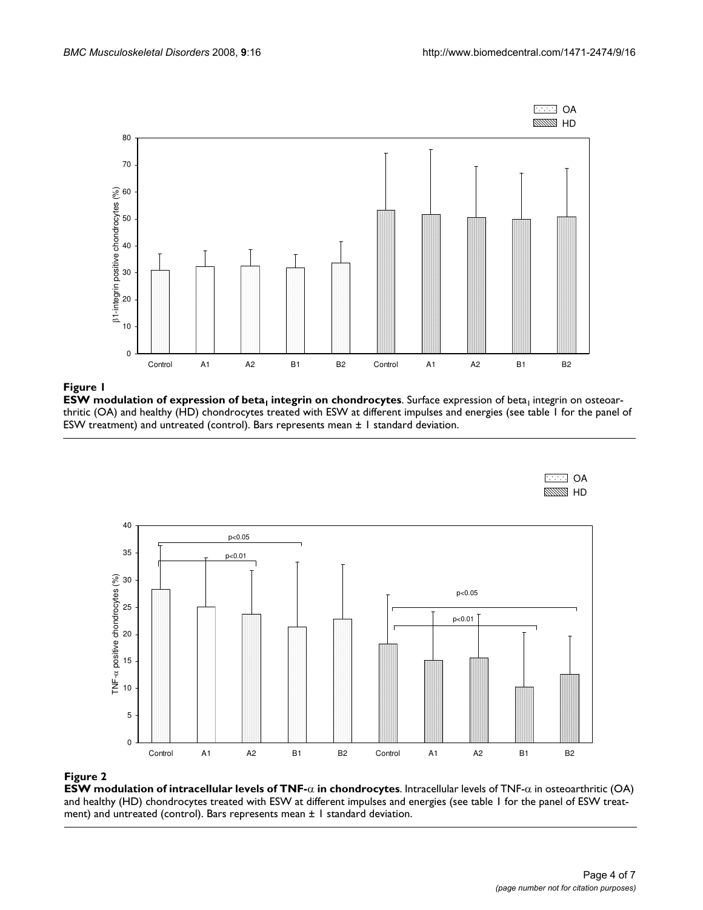

### ESW modulation of expression of beta1 **Figure 1** integrin on chondrocytes

 ${\sf ESW}$  modulation of expression of beta<sub>1</sub> integrin on chondrocytes. Surface expression of beta<sub>1</sub> integrin on osteoarthritic (OA) and healthy (HD) chondrocytes treated with ESW at different impulses and energies (see table 1 for the panel of ESW treatment) and untreated (control). Bars represents mean ± 1 standard deviation.





#### Figure 2

**ESW modulation of intracellular levels of TNF-**α **in chondrocytes**. Intracellular levels of TNF-α in osteoarthritic (OA) and healthy (HD) chondrocytes treated with ESW at different impulses and energies (see table 1 for the panel of ESW treatment) and untreated (control). Bars represents mean ± 1 standard deviation.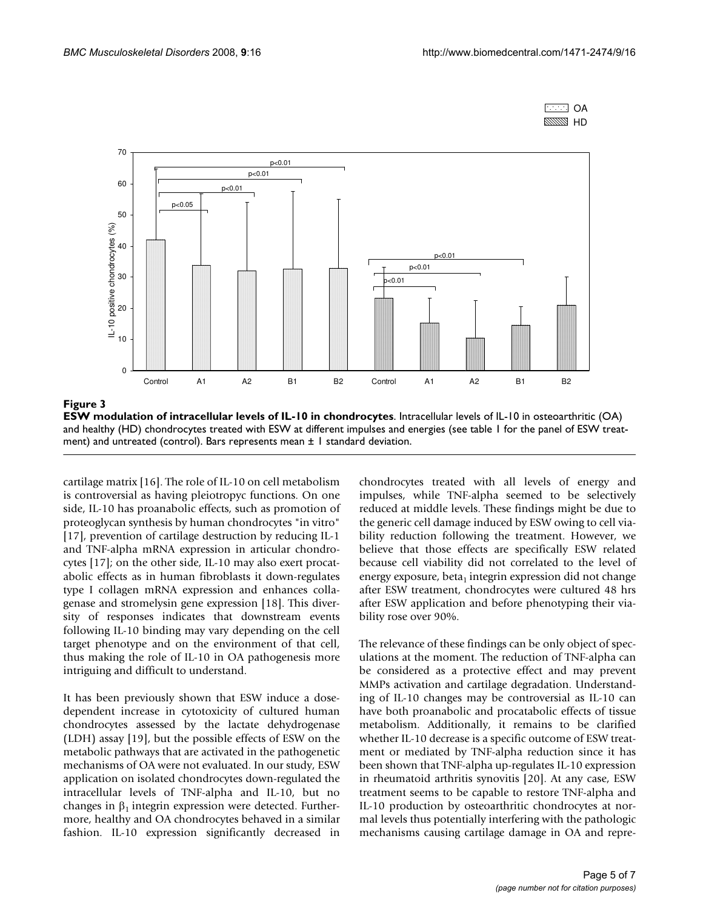



Figure 3

**ESW modulation of intracellular levels of IL-10 in chondrocytes**. Intracellular levels of IL-10 in osteoarthritic (OA) and healthy (HD) chondrocytes treated with ESW at different impulses and energies (see table 1 for the panel of ESW treatment) and untreated (control). Bars represents mean  $\pm$  1 standard deviation.

cartilage matrix [16]. The role of IL-10 on cell metabolism is controversial as having pleiotropyc functions. On one side, IL-10 has proanabolic effects, such as promotion of proteoglycan synthesis by human chondrocytes "in vitro" [17], prevention of cartilage destruction by reducing IL-1 and TNF-alpha mRNA expression in articular chondrocytes [17]; on the other side, IL-10 may also exert procatabolic effects as in human fibroblasts it down-regulates type I collagen mRNA expression and enhances collagenase and stromelysin gene expression [18]. This diversity of responses indicates that downstream events following IL-10 binding may vary depending on the cell target phenotype and on the environment of that cell, thus making the role of IL-10 in OA pathogenesis more intriguing and difficult to understand.

It has been previously shown that ESW induce a dosedependent increase in cytotoxicity of cultured human chondrocytes assessed by the lactate dehydrogenase (LDH) assay [19], but the possible effects of ESW on the metabolic pathways that are activated in the pathogenetic mechanisms of OA were not evaluated. In our study, ESW application on isolated chondrocytes down-regulated the intracellular levels of TNF-alpha and IL-10, but no changes in  $\beta_1$  integrin expression were detected. Furthermore, healthy and OA chondrocytes behaved in a similar fashion. IL-10 expression significantly decreased in

chondrocytes treated with all levels of energy and impulses, while TNF-alpha seemed to be selectively reduced at middle levels. These findings might be due to the generic cell damage induced by ESW owing to cell viability reduction following the treatment. However, we believe that those effects are specifically ESW related because cell viability did not correlated to the level of energy exposure, beta<sub>1</sub> integrin expression did not change after ESW treatment, chondrocytes were cultured 48 hrs after ESW application and before phenotyping their viability rose over 90%.

The relevance of these findings can be only object of speculations at the moment. The reduction of TNF-alpha can be considered as a protective effect and may prevent MMPs activation and cartilage degradation. Understanding of IL-10 changes may be controversial as IL-10 can have both proanabolic and procatabolic effects of tissue metabolism. Additionally, it remains to be clarified whether IL-10 decrease is a specific outcome of ESW treatment or mediated by TNF-alpha reduction since it has been shown that TNF-alpha up-regulates IL-10 expression in rheumatoid arthritis synovitis [20]. At any case, ESW treatment seems to be capable to restore TNF-alpha and IL-10 production by osteoarthritic chondrocytes at normal levels thus potentially interfering with the pathologic mechanisms causing cartilage damage in OA and repre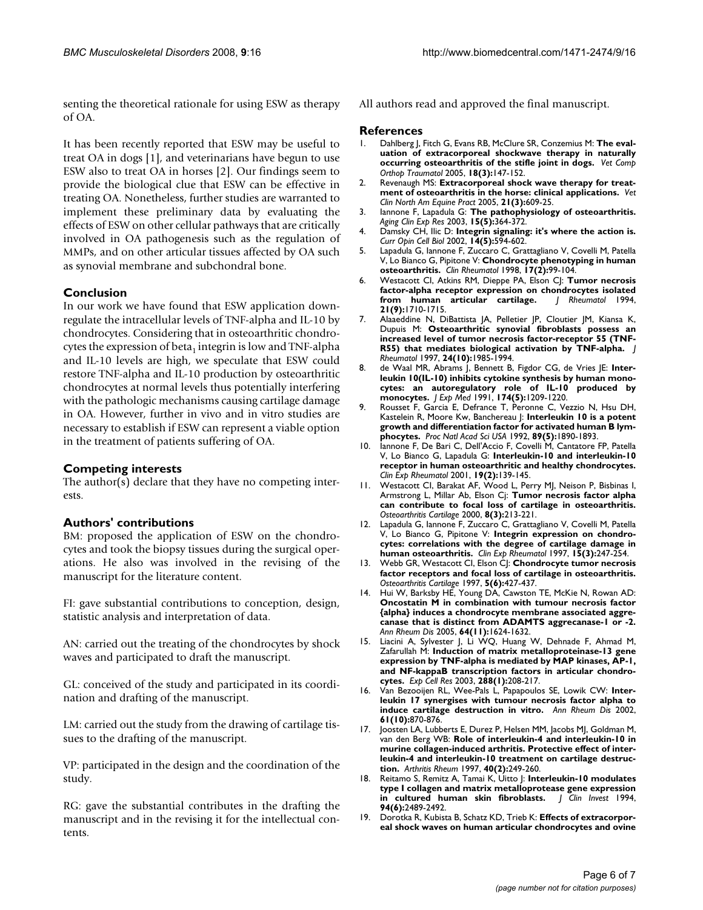senting the theoretical rationale for using ESW as therapy of OA.

It has been recently reported that ESW may be useful to treat OA in dogs [1], and veterinarians have begun to use ESW also to treat OA in horses [2]. Our findings seem to provide the biological clue that ESW can be effective in treating OA. Nonetheless, further studies are warranted to implement these preliminary data by evaluating the effects of ESW on other cellular pathways that are critically involved in OA pathogenesis such as the regulation of MMPs, and on other articular tissues affected by OA such as synovial membrane and subchondral bone.

#### **Conclusion**

In our work we have found that ESW application downregulate the intracellular levels of TNF-alpha and IL-10 by chondrocytes. Considering that in osteoarthritic chondrocytes the expression of beta<sub>1</sub> integrin is low and TNF-alpha and IL-10 levels are high, we speculate that ESW could restore TNF-alpha and IL-10 production by osteoarthritic chondrocytes at normal levels thus potentially interfering with the pathologic mechanisms causing cartilage damage in OA. However, further in vivo and in vitro studies are necessary to establish if ESW can represent a viable option in the treatment of patients suffering of OA.

#### **Competing interests**

The author(s) declare that they have no competing interests.

#### **Authors' contributions**

BM: proposed the application of ESW on the chondrocytes and took the biopsy tissues during the surgical operations. He also was involved in the revising of the manuscript for the literature content.

FI: gave substantial contributions to conception, design, statistic analysis and interpretation of data.

AN: carried out the treating of the chondrocytes by shock waves and participated to draft the manuscript.

GL: conceived of the study and participated in its coordination and drafting of the manuscript.

LM: carried out the study from the drawing of cartilage tissues to the drafting of the manuscript.

VP: participated in the design and the coordination of the study.

RG: gave the substantial contributes in the drafting the manuscript and in the revising it for the intellectual contents.

All authors read and approved the final manuscript.

#### **References**

- Dahlberg J, Fitch G, Evans RB, McClure SR, Conzemius M: [The eval](http://www.ncbi.nlm.nih.gov/entrez/query.fcgi?cmd=Retrieve&db=PubMed&dopt=Abstract&list_uids=16594445)**[uation of extracorporeal shockwave therapy in naturally](http://www.ncbi.nlm.nih.gov/entrez/query.fcgi?cmd=Retrieve&db=PubMed&dopt=Abstract&list_uids=16594445) [occurring osteoarthritis of the stifle joint in dogs.](http://www.ncbi.nlm.nih.gov/entrez/query.fcgi?cmd=Retrieve&db=PubMed&dopt=Abstract&list_uids=16594445)** *Vet Comp Orthop Traumatol* 2005, **18(3):**147-152.
- 2. Revenaugh MS: **[Extracorporeal shock wave therapy for treat](http://www.ncbi.nlm.nih.gov/entrez/query.fcgi?cmd=Retrieve&db=PubMed&dopt=Abstract&list_uids=16297724)[ment of osteoarthritis in the horse: clinical applications.](http://www.ncbi.nlm.nih.gov/entrez/query.fcgi?cmd=Retrieve&db=PubMed&dopt=Abstract&list_uids=16297724)** *Vet Clin North Am Equine Pract* 2005, **21(3):**609-25.
- 3. Iannone F, Lapadula G: **[The pathophysiology of osteoarthritis.](http://www.ncbi.nlm.nih.gov/entrez/query.fcgi?cmd=Retrieve&db=PubMed&dopt=Abstract&list_uids=14703002)** *Aging Clin Exp Res* 2003, **15(5):**364-372.
- 4. Damsky CH, Ilic D: **[Integrin signaling: it's where the action is.](http://www.ncbi.nlm.nih.gov/entrez/query.fcgi?cmd=Retrieve&db=PubMed&dopt=Abstract&list_uids=12231355)** *Curr Opin Cell Biol* 2002, **14(5):**594-602.
- 5. Lapadula G, Iannone F, Zuccaro C, Grattagliano V, Covelli M, Patella V, Lo Bianco G, Pipitone V: **[Chondrocyte phenotyping in human](http://www.ncbi.nlm.nih.gov/entrez/query.fcgi?cmd=Retrieve&db=PubMed&dopt=Abstract&list_uids=9641504) [osteoarthritis.](http://www.ncbi.nlm.nih.gov/entrez/query.fcgi?cmd=Retrieve&db=PubMed&dopt=Abstract&list_uids=9641504)** *Clin Rheumatol* 1998, **17(2):**99-104.
- 6. Westacott CI, Atkins RM, Dieppe PA, Elson CJ: **[Tumor necrosis](http://www.ncbi.nlm.nih.gov/entrez/query.fcgi?cmd=Retrieve&db=PubMed&dopt=Abstract&list_uids=7799355) [factor-alpha receptor expression on chondrocytes isolated](http://www.ncbi.nlm.nih.gov/entrez/query.fcgi?cmd=Retrieve&db=PubMed&dopt=Abstract&list_uids=7799355)** [from human articular cartilage.](http://www.ncbi.nlm.nih.gov/entrez/query.fcgi?cmd=Retrieve&db=PubMed&dopt=Abstract&list_uids=7799355) **21(9):**1710-1715.
- 7. Alaaeddine N, DiBattista JA, Pelletier JP, Cloutier JM, Kiansa K, Dupuis M: **[Osteoarthritic synovial fibroblasts possess an](http://www.ncbi.nlm.nih.gov/entrez/query.fcgi?cmd=Retrieve&db=PubMed&dopt=Abstract&list_uids=9330943) [increased level of tumor necrosis factor-receptor 55 \(TNF-](http://www.ncbi.nlm.nih.gov/entrez/query.fcgi?cmd=Retrieve&db=PubMed&dopt=Abstract&list_uids=9330943)[R55\) that mediates biological activation by TNF-alpha.](http://www.ncbi.nlm.nih.gov/entrez/query.fcgi?cmd=Retrieve&db=PubMed&dopt=Abstract&list_uids=9330943)** *J Rheumatol* 1997, **24(10):**1985-1994.
- 8. de Waal MR, Abrams J, Bennett B, Figdor CG, de Vries JE: [Inter](http://www.ncbi.nlm.nih.gov/entrez/query.fcgi?cmd=Retrieve&db=PubMed&dopt=Abstract&list_uids=1940799)**[leukin 10\(IL-10\) inhibits cytokine synthesis by human mono](http://www.ncbi.nlm.nih.gov/entrez/query.fcgi?cmd=Retrieve&db=PubMed&dopt=Abstract&list_uids=1940799)cytes: an autoregulatory role of IL-10 produced by [monocytes.](http://www.ncbi.nlm.nih.gov/entrez/query.fcgi?cmd=Retrieve&db=PubMed&dopt=Abstract&list_uids=1940799)** *J Exp Med* 1991, **174(5):**1209-1220.
- 9. Rousset F, Garcia E, Defrance T, Peronne C, Vezzio N, Hsu DH, Kastelein R, Moore Kw, Banchereau J: **[Interleukin 10 is a potent](http://www.ncbi.nlm.nih.gov/entrez/query.fcgi?cmd=Retrieve&db=PubMed&dopt=Abstract&list_uids=1371884) [growth and differentiation factor for activated human B lym](http://www.ncbi.nlm.nih.gov/entrez/query.fcgi?cmd=Retrieve&db=PubMed&dopt=Abstract&list_uids=1371884)[phocytes.](http://www.ncbi.nlm.nih.gov/entrez/query.fcgi?cmd=Retrieve&db=PubMed&dopt=Abstract&list_uids=1371884)** *Proc Natl Acad Sci USA* 1992, **89(5):**1890-1893.
- 10. Iannone F, De Bari C, Dell'Accio F, Covelli M, Cantatore FP, Patella V, Lo Bianco G, Lapadula G: **[Interleukin-10 and interleukin-10](http://www.ncbi.nlm.nih.gov/entrez/query.fcgi?cmd=Retrieve&db=PubMed&dopt=Abstract&list_uids=11332442) [receptor in human osteoarthritic and healthy chondrocytes.](http://www.ncbi.nlm.nih.gov/entrez/query.fcgi?cmd=Retrieve&db=PubMed&dopt=Abstract&list_uids=11332442)** *Clin Exp Rheumatol* 2001, **19(2):**139-145.
- 11. Westacott CI, Barakat AF, Wood L, Perry MJ, Neison P, Bisbinas I, Armstrong L, Millar Ab, Elson Cj: **[Tumor necrosis factor alpha](http://www.ncbi.nlm.nih.gov/entrez/query.fcgi?cmd=Retrieve&db=PubMed&dopt=Abstract&list_uids=10806049) [can contribute to focal loss of cartilage in osteoarthritis.](http://www.ncbi.nlm.nih.gov/entrez/query.fcgi?cmd=Retrieve&db=PubMed&dopt=Abstract&list_uids=10806049)** *Osteoarthritis Cartilage* 2000, **8(3):**213-221.
- 12. Lapadula G, Iannone F, Zuccaro C, Grattagliano V, Covelli M, Patella V, Lo Bianco G, Pipitone V: **[Integrin expression on chondro](http://www.ncbi.nlm.nih.gov/entrez/query.fcgi?cmd=Retrieve&db=PubMed&dopt=Abstract&list_uids=9177918)[cytes: correlations with the degree of cartilage damage in](http://www.ncbi.nlm.nih.gov/entrez/query.fcgi?cmd=Retrieve&db=PubMed&dopt=Abstract&list_uids=9177918) [human osteoarthritis.](http://www.ncbi.nlm.nih.gov/entrez/query.fcgi?cmd=Retrieve&db=PubMed&dopt=Abstract&list_uids=9177918)** *Clin Exp Rheumatol* 1997, **15(3):**247-254.
- 13. Webb GR, Westacott CI, Elson CJ: [Chondrocyte tumor necrosis](http://www.ncbi.nlm.nih.gov/entrez/query.fcgi?cmd=Retrieve&db=PubMed&dopt=Abstract&list_uids=9536291) **[factor receptors and focal loss of cartilage in osteoarthritis.](http://www.ncbi.nlm.nih.gov/entrez/query.fcgi?cmd=Retrieve&db=PubMed&dopt=Abstract&list_uids=9536291)** *Osteoarthritis Cartilage* 1997, **5(6):**427-437.
- 14. Hui W, Barksby HE, Young DA, Cawston TE, McKie N, Rowan AD: **[Oncostatin M in combination with tumour necrosis factor](http://www.ncbi.nlm.nih.gov/entrez/query.fcgi?cmd=Retrieve&db=PubMed&dopt=Abstract&list_uids=15883123) {alpha} induces a chondrocyte membrane associated aggrecanase that is distinct from ADAMTS aggrecanase-1 or -2.** *Ann Rheum Dis* 2005, **64(11):**1624-1632.
- 15. Liacini A, Sylvester J, Li WQ, Huang W, Dehnade F, Ahmad M, Zafarullah M: **[Induction of matrix metalloproteinase-13 gene](http://www.ncbi.nlm.nih.gov/entrez/query.fcgi?cmd=Retrieve&db=PubMed&dopt=Abstract&list_uids=12878172) [expression by TNF-alpha is mediated by MAP kinases, AP-1,](http://www.ncbi.nlm.nih.gov/entrez/query.fcgi?cmd=Retrieve&db=PubMed&dopt=Abstract&list_uids=12878172) and NF-kappaB transcription factors in articular chondro[cytes.](http://www.ncbi.nlm.nih.gov/entrez/query.fcgi?cmd=Retrieve&db=PubMed&dopt=Abstract&list_uids=12878172)** *Exp Cell Res* 2003, **288(1):**208-217.
- 16. Van Bezooijen RL, Wee-Pals L, Papapoulos SE, Lowik CW: **[Inter](http://www.ncbi.nlm.nih.gov/entrez/query.fcgi?cmd=Retrieve&db=PubMed&dopt=Abstract&list_uids=12228154)[leukin 17 synergises with tumour necrosis factor alpha to](http://www.ncbi.nlm.nih.gov/entrez/query.fcgi?cmd=Retrieve&db=PubMed&dopt=Abstract&list_uids=12228154) [induce cartilage destruction in vitro.](http://www.ncbi.nlm.nih.gov/entrez/query.fcgi?cmd=Retrieve&db=PubMed&dopt=Abstract&list_uids=12228154)** *Ann Rheum Dis* 2002, **61(10):**870-876.
- 17. Joosten LA, Lubberts E, Durez P, Helsen MM, Jacobs MJ, Goldman M, van den Berg WB: **[Role of interleukin-4 and interleukin-10 in](http://www.ncbi.nlm.nih.gov/entrez/query.fcgi?cmd=Retrieve&db=PubMed&dopt=Abstract&list_uids=9041936) [murine collagen-induced arthritis. Protective effect of inter](http://www.ncbi.nlm.nih.gov/entrez/query.fcgi?cmd=Retrieve&db=PubMed&dopt=Abstract&list_uids=9041936)leukin-4 and interleukin-10 treatment on cartilage destruc[tion.](http://www.ncbi.nlm.nih.gov/entrez/query.fcgi?cmd=Retrieve&db=PubMed&dopt=Abstract&list_uids=9041936)** *Arthritis Rheum* 1997, **40(2):**249-260.
- 18. Reitamo S, Remitz A, Tamai K, Uitto J: **[Interleukin-10 modulates](http://www.ncbi.nlm.nih.gov/entrez/query.fcgi?cmd=Retrieve&db=PubMed&dopt=Abstract&list_uids=7989607) [type I collagen and matrix metalloprotease gene expression](http://www.ncbi.nlm.nih.gov/entrez/query.fcgi?cmd=Retrieve&db=PubMed&dopt=Abstract&list_uids=7989607) [in cultured human skin fibroblasts.](http://www.ncbi.nlm.nih.gov/entrez/query.fcgi?cmd=Retrieve&db=PubMed&dopt=Abstract&list_uids=7989607)** *J Clin Invest* 1994, **94(6):**2489-2492.
- 19. Dorotka R, Kubista B, Schatz KD, Trieb K: **[Effects of extracorpor](http://www.ncbi.nlm.nih.gov/entrez/query.fcgi?cmd=Retrieve&db=PubMed&dopt=Abstract&list_uids=12845449)[eal shock waves on human articular chondrocytes and ovine](http://www.ncbi.nlm.nih.gov/entrez/query.fcgi?cmd=Retrieve&db=PubMed&dopt=Abstract&list_uids=12845449)**